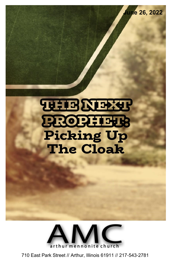**REIBZERING BROBETHER Picking Up The Cloak** 

**June 26, 2022**



710 East Park Street // Arthur, Illinois 61911 // 217-543-2781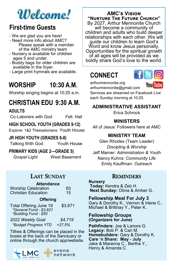# **Welcome!**

## **First-time Guests**

- We are glad you are here!
- Need more info about AMC? Please speak with a member of the AMC ministry team
- Nursery is available for children ages 5 and under.
- Buddy bags for older children are available in the foyer.
- Large print hymnals are available.

## **WORSHIP 10:30 A.M.**

Worship singing begins at 10:25 a.m.

## **CHRISTIAN EDU 9:30 A.M.**

**ADULTS**

Co-Laborers with God Fell. Hall

### **HIGH SCHOOL YOUTH (GRADES 9-12)**

Explore: 1&2 Thessalonians Youth House

#### **JR HIGH YOUTH (GRADES 6-8)**

Talking With God Youth House

**PRIMARY KIDS (AGE 2—GRADE 5)**

*Gospel Light* West Basement

### LAST SUNDAY

| <b>Attendance</b><br><b>Worship Celebration</b><br>Christian Education     | 83<br>15 |  |
|----------------------------------------------------------------------------|----------|--|
| <b>Offering</b>                                                            |          |  |
| Total Offering June 19<br>*General Fund - \$3,621<br>*Building Fund - \$50 | \$3,671  |  |
| 2022 Weekly Goal                                                           | \$4,719  |  |
| *Budget Progress YTD                                                       | $+27.5%$ |  |

Tithes & Offerings can be placed in the boxes at the back of the Sanctuary or online through the church app/website.



### **AMC's Vision "Nurture The Future Church"**

By 2027, Arthur Mennonite Church will become a community of children and adults who build deeper relationships with each other. We will guide our children to learn God's Word and know Jesus personally. Opportunities for the spiritual growth of all ages will be provided as we boldly share God's love to the world.

## **CONNECT**



arthurmennonite.org

Youl

arthurmennonite@gmail.com Services are streamed on Facebook Live each Sunday morning at 10:25.

### **ADMINISTRATIVE ASSISTANT**

Erica Schrock

### **MINISTERS**

All of Jesus' Followers here at AMC

### **MINISTRY TEAM**

Glen Rhodes (Team Leader) *Discipling & Worship*  Jeff Marner: *Administration & Youth* Nancy Kuhns: *Community Life* Emily Kauffman: *Outreach*

### **REMINDERS**

**Nursery Today:** Kendra & Zeb H.

**Next Sunday:** Olivia & Amber G.

#### **Fellowship Meal For July 3** Gary & Dorothy K., Vernon & Irlene C.,

Michael & Brittnay Y., Peter K.

#### **Fellowship Groups (Organizers for June)**

**Pathfinders:** Joe & Lanora G. **Legacy:** Bob P. & Cari M. **Homebuilders:** Gary & Dorothy K. **Care 'n Share: May - July** Jake & Maranna C., Bertha Y., Henry & Amanda C.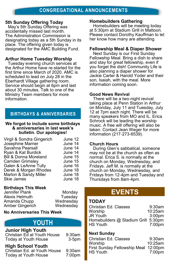#### **5th Sunday Offering Today**

May's 5th Sunday Offering was accidentally missed last month. The Administration Commission is designating today as a 5th Sunday in its place. The offering given today is designated for the AMC Building Fund.

#### **Arthur Home Tuesday Worship**

Tuesday evening church services at the Arthur Home have re-started for the first time since March of 2020. AMC is scheduled to lead on July 28 in the Eberhardt Village gathering room. Service should begin at 6pm and last about 30 minutes. Talk to one of the Ministry Team members for more information.

### **BIRTHDAYS & ANNIVERSARIES**

#### **We forgot to include some birthdays & anniversaries in last week's bulletin. Our apologies!**

| Virgil & Sondra Gingerich        | June 12 |
|----------------------------------|---------|
| Josephine Marner                 | June 14 |
| Savahna Pearsall                 | June 14 |
| Ryan & Kat Burdick               | June 14 |
| <b>Bill &amp; Donna Moreland</b> | June 15 |
| Camden Grimsley                  | June 15 |
| Galen & LeAnne Tully             | June 16 |
| Derek & Morgan Rhodes            | June 18 |
| Marlon & Sandy Miller            | June 18 |
| Skie James                       | June 18 |
|                                  |         |

#### **Birthdays This Week**

| Jennifer Plank  | Monday    |
|-----------------|-----------|
| Alexis Helmuth  | Tuesday   |
| Amanda Chupp    | Wednesday |
| Amber Gingerich | Wednesday |
|                 |           |

#### **No Anniversaries This Week**

## **YOUTH**

### **Junior High Youth**

Christian Ed at Youth House 9:30am Today at Youth House 3-5pm

#### **High School Youth**

Christian Ed. at Youth House 9:30am Today at Youth House 7:00pm

#### **Homebuilders Gathering**

 Homebuilders will be meeting today at 5:30pm at Stadium Grill in Mattoon. Please contact Dorothy Kauffman to let her know how many are attending.

#### **Fellowship Meal & Diaper Shower**

 Next Sunday is our First Sunday Fellowship Meal. Bring a dish to share and stay for great fellowship, even if you forget the dish! Community Life is also planning a diaper shower for Jackie Carter & Harold Yoder and their son, Isaiah, with the meal. More information coming soon.

#### **Good News Revival**

 There will be a two-night revival taking place at Penn Station in Arthur on Monday, July 11 and Tuesday, July 12 at 7pm each night. There will be many speakers from MO and IL. Erica Schrock will be leading the worship music. A free will offering will also be taken. Contact Jean Weger for more information (217-273-6539).

#### **Church Hours**

 During Glen's sabbatical, someone may not be at the church as often as normal. Erica S. is normally at the church on Monday, Wednesday, and Fridays. Jeff M. is normally at the church on Monday, Wednesday, and Fridays from 12-4pm and Tuesday and Thursdays from 8am-4pm.

### **EVENTS**

#### **TODAY**

| Christian Ed. Classes               | $9:30$ am          |
|-------------------------------------|--------------------|
| Worship                             | 10:25am            |
| <b>JR Youth</b>                     | 3:00 <sub>pm</sub> |
| Homebuilders @ Stadium Grill 5:30pm |                    |
| <b>HS Youth</b>                     | 7:00pm             |

#### **Next Sunday**

Christian Ed. Classes 9:30am Worship 10:25am First Sunday Fellowship Meal 12:00pm HS Youth 7:00pm